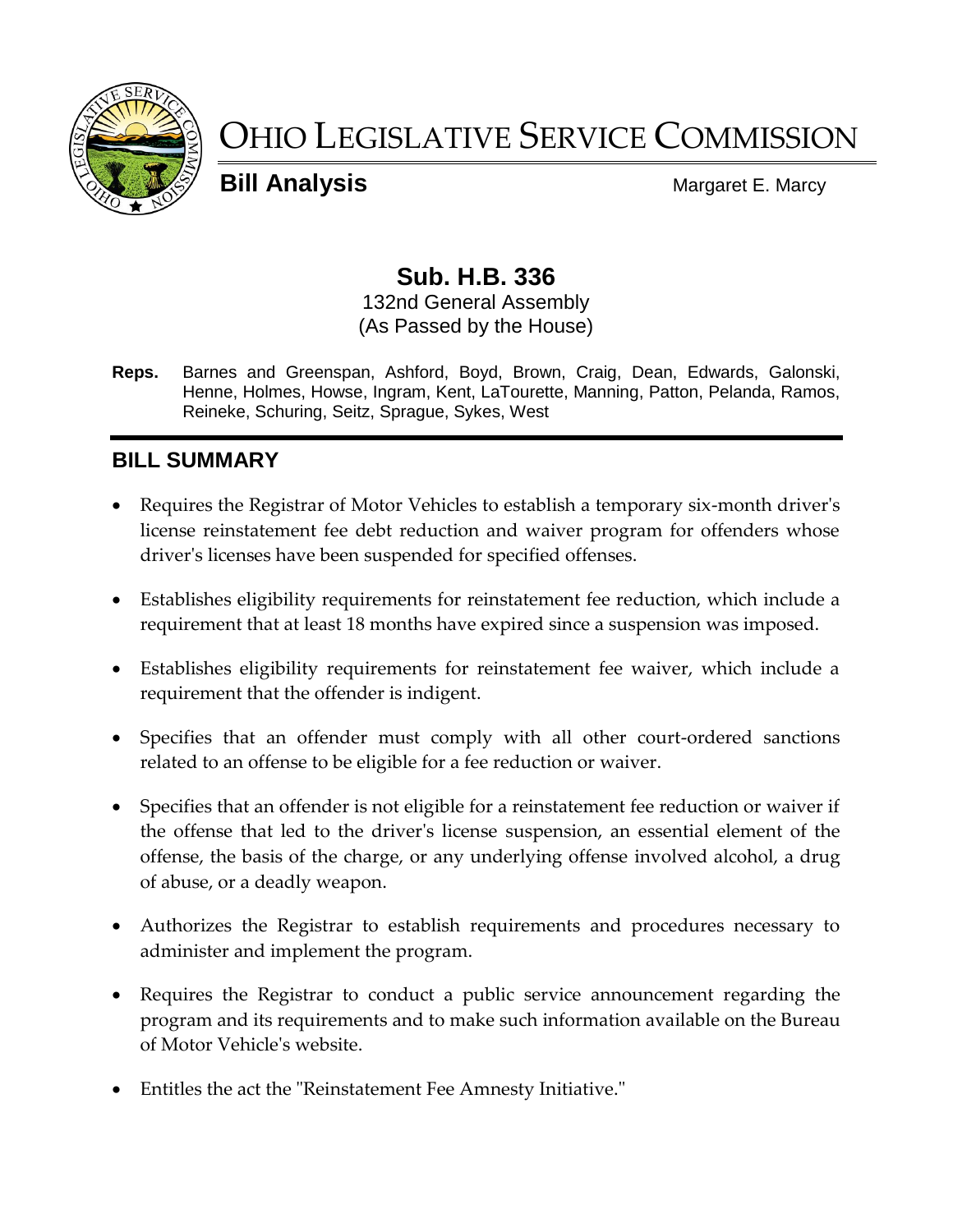

# OHIO LEGISLATIVE SERVICE COMMISSION

**Bill Analysis** Margaret E. Marcy

# **Sub. H.B. 336**

#### 132nd General Assembly (As Passed by the House)

**Reps.** Barnes and Greenspan, Ashford, Boyd, Brown, Craig, Dean, Edwards, Galonski, Henne, Holmes, Howse, Ingram, Kent, LaTourette, Manning, Patton, Pelanda, Ramos, Reineke, Schuring, Seitz, Sprague, Sykes, West

# **BILL SUMMARY**

- Requires the Registrar of Motor Vehicles to establish a temporary six-month driver's license reinstatement fee debt reduction and waiver program for offenders whose driver's licenses have been suspended for specified offenses.
- Establishes eligibility requirements for reinstatement fee reduction, which include a requirement that at least 18 months have expired since a suspension was imposed.
- Establishes eligibility requirements for reinstatement fee waiver, which include a requirement that the offender is indigent.
- Specifies that an offender must comply with all other court-ordered sanctions related to an offense to be eligible for a fee reduction or waiver.
- Specifies that an offender is not eligible for a reinstatement fee reduction or waiver if the offense that led to the driver's license suspension, an essential element of the offense, the basis of the charge, or any underlying offense involved alcohol, a drug of abuse, or a deadly weapon.
- Authorizes the Registrar to establish requirements and procedures necessary to administer and implement the program.
- Requires the Registrar to conduct a public service announcement regarding the program and its requirements and to make such information available on the Bureau of Motor Vehicle's website.
- Entitles the act the "Reinstatement Fee Amnesty Initiative."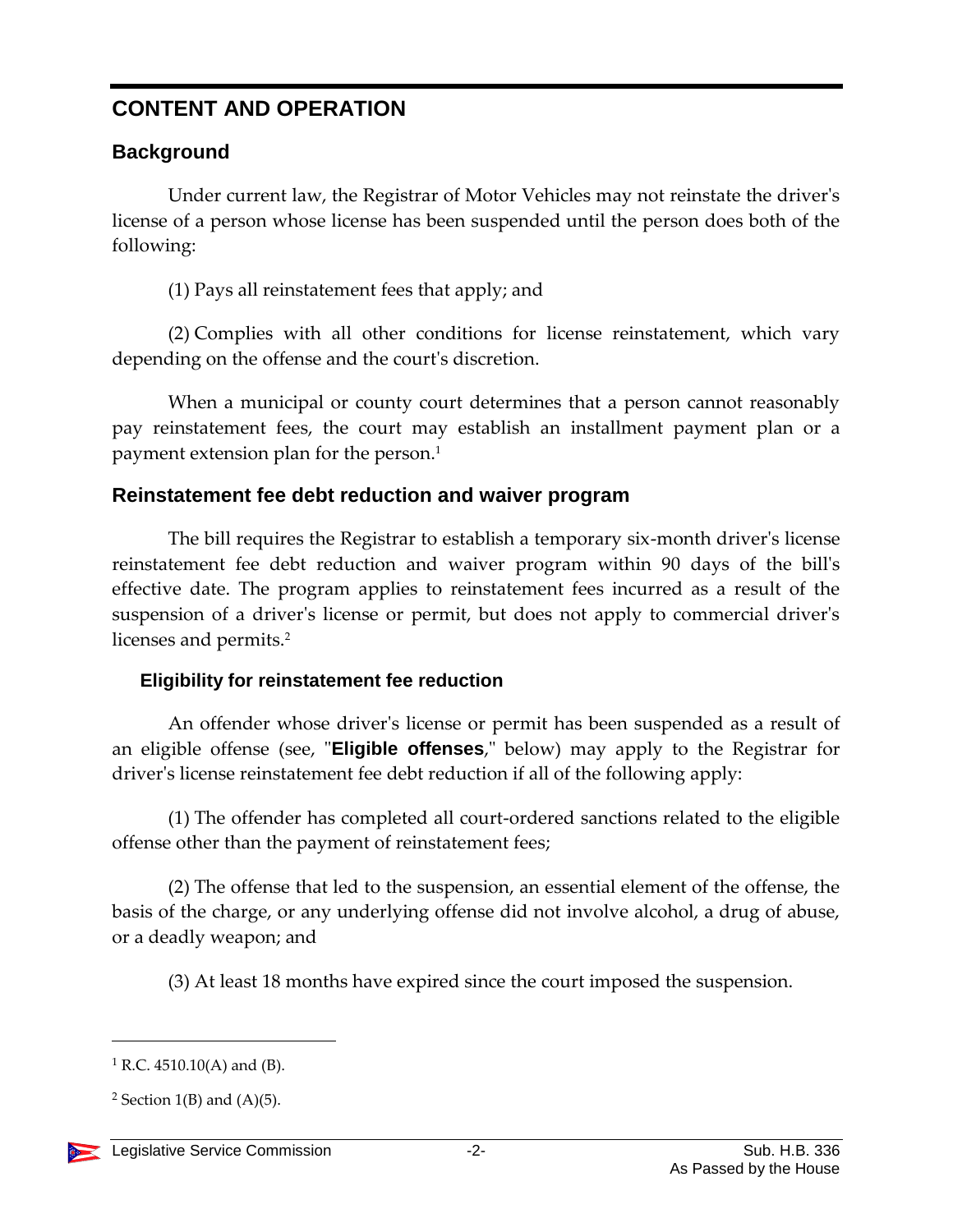# **CONTENT AND OPERATION**

## **Background**

Under current law, the Registrar of Motor Vehicles may not reinstate the driver's license of a person whose license has been suspended until the person does both of the following:

(1) Pays all reinstatement fees that apply; and

(2) Complies with all other conditions for license reinstatement, which vary depending on the offense and the court's discretion.

When a municipal or county court determines that a person cannot reasonably pay reinstatement fees, the court may establish an installment payment plan or a payment extension plan for the person.<sup>1</sup>

### **Reinstatement fee debt reduction and waiver program**

The bill requires the Registrar to establish a temporary six-month driver's license reinstatement fee debt reduction and waiver program within 90 days of the bill's effective date. The program applies to reinstatement fees incurred as a result of the suspension of a driver's license or permit, but does not apply to commercial driver's licenses and permits.<sup>2</sup>

### **Eligibility for reinstatement fee reduction**

An offender whose driver's license or permit has been suspended as a result of an eligible offense (see, "**Eligible offenses**," below) may apply to the Registrar for driver's license reinstatement fee debt reduction if all of the following apply:

(1) The offender has completed all court-ordered sanctions related to the eligible offense other than the payment of reinstatement fees;

(2) The offense that led to the suspension, an essential element of the offense, the basis of the charge, or any underlying offense did not involve alcohol, a drug of abuse, or a deadly weapon; and

(3) At least 18 months have expired since the court imposed the suspension.

<sup>&</sup>lt;sup>2</sup> Section 1(B) and  $(A)(5)$ .



 $\overline{a}$ 

 $1 R.C. 4510.10(A)$  and (B).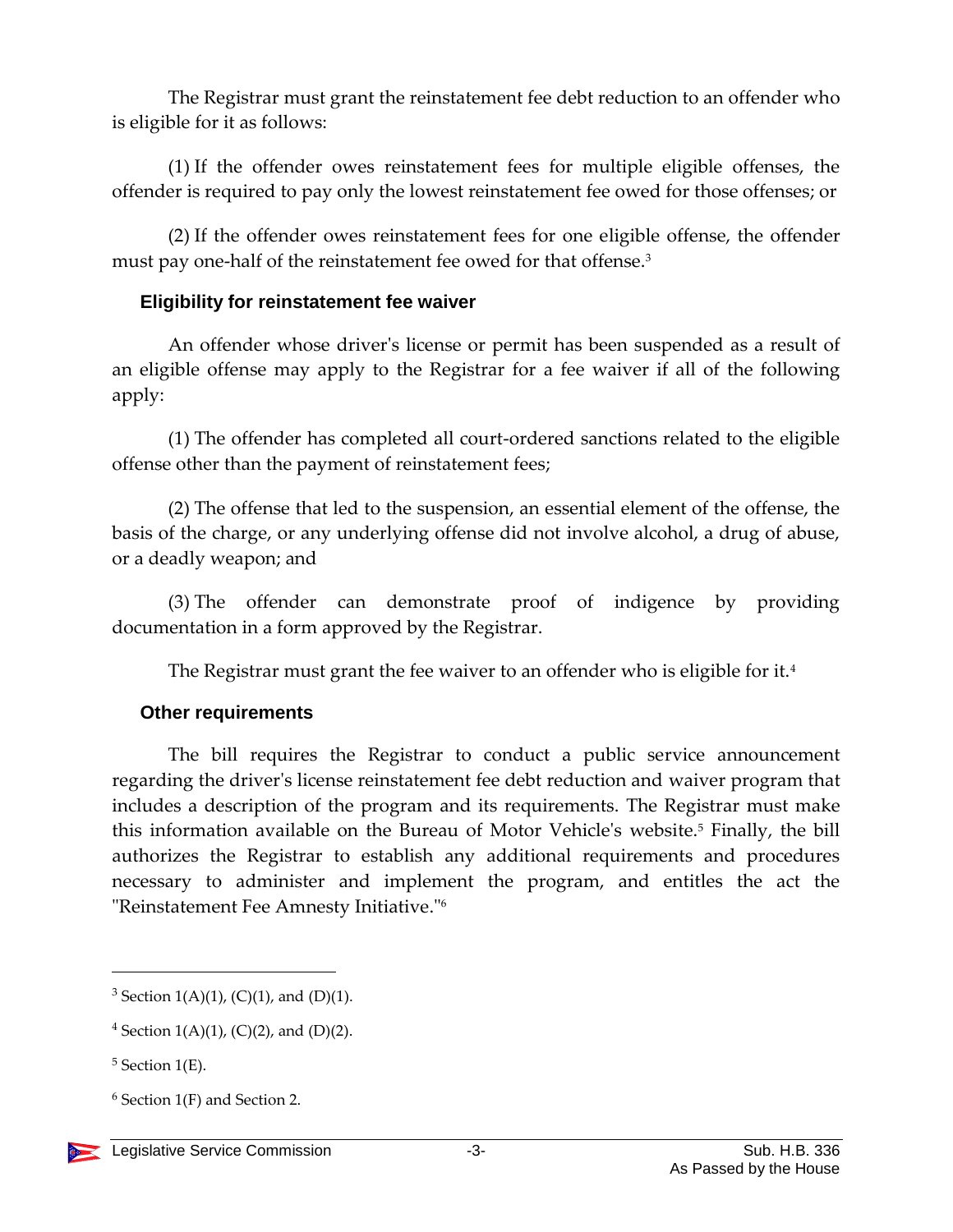The Registrar must grant the reinstatement fee debt reduction to an offender who is eligible for it as follows:

(1) If the offender owes reinstatement fees for multiple eligible offenses, the offender is required to pay only the lowest reinstatement fee owed for those offenses; or

(2) If the offender owes reinstatement fees for one eligible offense, the offender must pay one-half of the reinstatement fee owed for that offense.<sup>3</sup>

#### **Eligibility for reinstatement fee waiver**

An offender whose driver's license or permit has been suspended as a result of an eligible offense may apply to the Registrar for a fee waiver if all of the following apply:

(1) The offender has completed all court-ordered sanctions related to the eligible offense other than the payment of reinstatement fees;

(2) The offense that led to the suspension, an essential element of the offense, the basis of the charge, or any underlying offense did not involve alcohol, a drug of abuse, or a deadly weapon; and

(3) The offender can demonstrate proof of indigence by providing documentation in a form approved by the Registrar.

The Registrar must grant the fee waiver to an offender who is eligible for it.<sup>4</sup>

#### **Other requirements**

The bill requires the Registrar to conduct a public service announcement regarding the driver's license reinstatement fee debt reduction and waiver program that includes a description of the program and its requirements. The Registrar must make this information available on the Bureau of Motor Vehicle's website.<sup>5</sup> Finally, the bill authorizes the Registrar to establish any additional requirements and procedures necessary to administer and implement the program, and entitles the act the "Reinstatement Fee Amnesty Initiative."<sup>6</sup>

 $\overline{a}$ 

<sup>&</sup>lt;sup>3</sup> Section 1(A)(1), (C)(1), and (D)(1).

<sup>&</sup>lt;sup>4</sup> Section 1(A)(1), (C)(2), and (D)(2).

 $5$  Section 1(E).

 $6$  Section 1(F) and Section 2.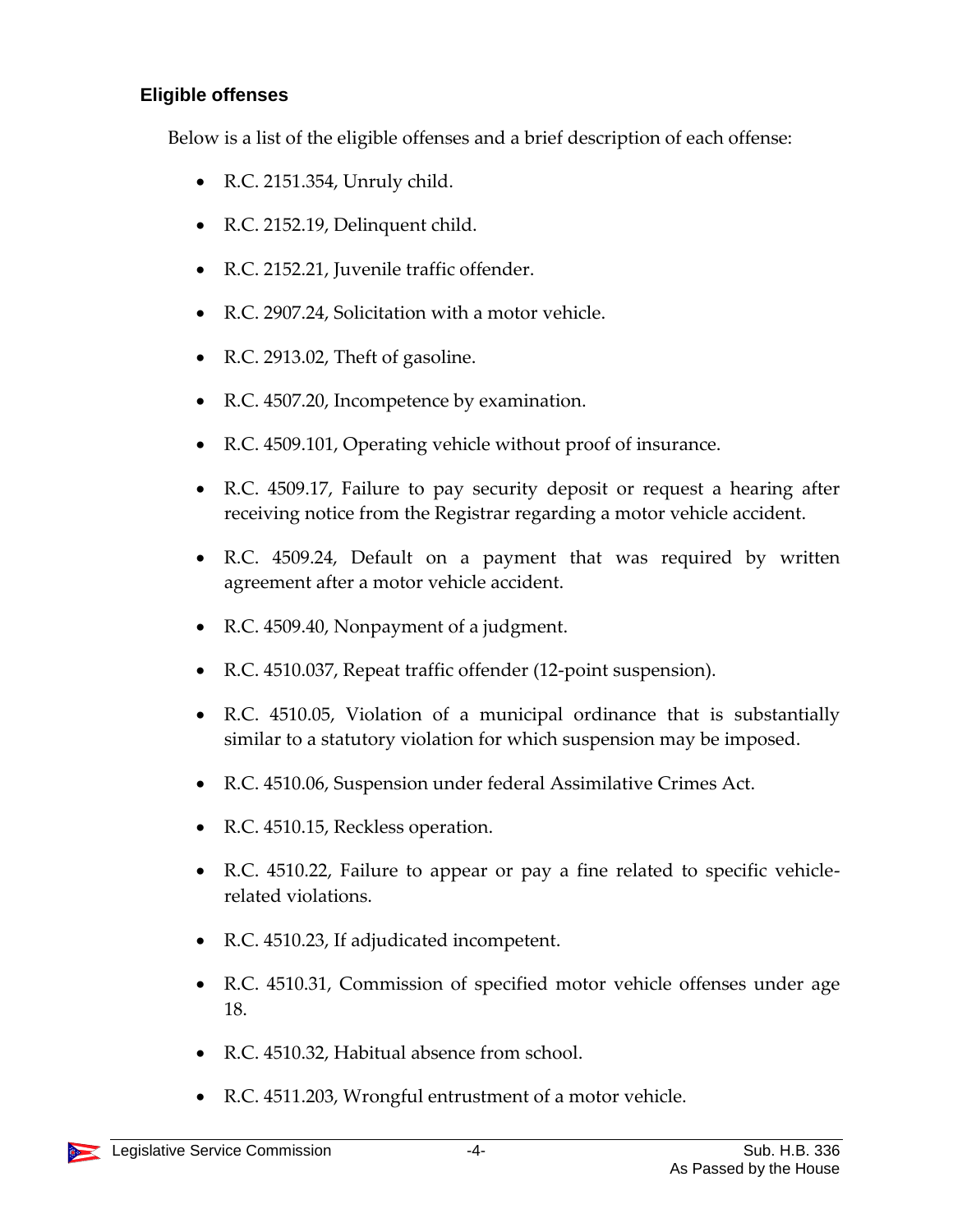#### **Eligible offenses**

Below is a list of the eligible offenses and a brief description of each offense:

- R.C. 2151.354, Unruly child.
- R.C. 2152.19, Delinquent child.
- R.C. 2152.21, Juvenile traffic offender.
- R.C. 2907.24, Solicitation with a motor vehicle.
- R.C. 2913.02, Theft of gasoline.
- R.C. 4507.20, Incompetence by examination.
- R.C. 4509.101, Operating vehicle without proof of insurance.
- R.C. 4509.17, Failure to pay security deposit or request a hearing after receiving notice from the Registrar regarding a motor vehicle accident.
- R.C. 4509.24, Default on a payment that was required by written agreement after a motor vehicle accident.
- R.C. 4509.40, Nonpayment of a judgment.
- R.C. 4510.037, Repeat traffic offender (12-point suspension).
- R.C. 4510.05, Violation of a municipal ordinance that is substantially similar to a statutory violation for which suspension may be imposed.
- R.C. 4510.06, Suspension under federal Assimilative Crimes Act.
- R.C. 4510.15, Reckless operation.
- R.C. 4510.22, Failure to appear or pay a fine related to specific vehiclerelated violations.
- R.C. 4510.23, If adjudicated incompetent.
- R.C. 4510.31, Commission of specified motor vehicle offenses under age 18.
- R.C. 4510.32, Habitual absence from school.
- R.C. 4511.203, Wrongful entrustment of a motor vehicle.